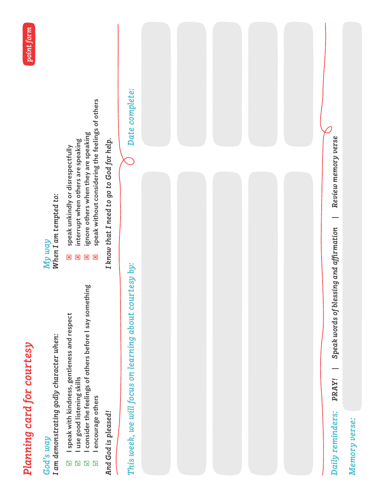

## *God's way*

I am demonstrating godly character when: *I am demonstrating godly character when:*

- I speak with kindness, gentleness and respect  $\boxdot$  I speak with kindness, gentleness and respect
	- I use good listening skills  $\boxdot$  I use good listening skills
- I consider the feelings of others before I say something  $\boxtimes$  1 consider the feelings of others before I say something

#### When I am tempted to: *When I am tempted to: My way*

*point form*

- speak unkindly or disrespectfully :
	- speak unkindly or disrespectfully  $\overline{\mathbf{x}}$
- interrupt when others are speaking  $\boxtimes$  interrupt when others are speaking
- ignore others when they are speaking  $\boxtimes$  ignore others when they are speaking 8 8